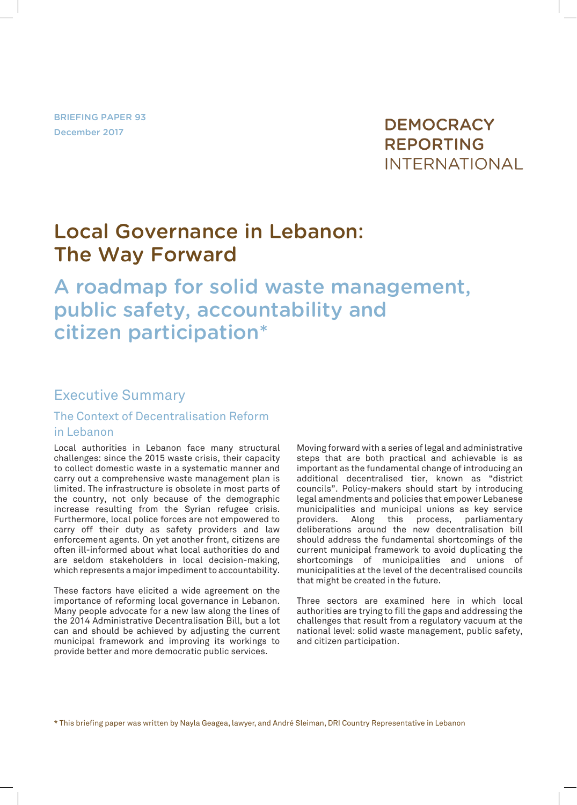BRIEFING PAPER 93 December 2017

## **DEMOCRACY REPORTING INTERNATIONAL**

## Local Governance in Lebanon: The Way Forward

# A roadmap for solid waste management, public safety, accountability and citizen participation\*

#### Executive Summary

#### The Context of Decentralisation Reform in Lebanon

Local authorities in Lebanon face many structural challenges: since the 2015 waste crisis, their capacity to collect domestic waste in a systematic manner and carry out a comprehensive waste management plan is limited. The infrastructure is obsolete in most parts of the country, not only because of the demographic increase resulting from the Syrian refugee crisis. Furthermore, local police forces are not empowered to carry off their duty as safety providers and law enforcement agents. On yet another front, citizens are often ill-informed about what local authorities do and are seldom stakeholders in local decision-making, which represents a major impediment to accountability.

These factors have elicited a wide agreement on the importance of reforming local governance in Lebanon. Many people advocate for a new law along the lines of the 2014 Administrative Decentralisation Bill, but a lot can and should be achieved by adjusting the current municipal framework and improving its workings to provide better and more democratic public services.

Moving forward with a series of legal and administrative steps that are both practical and achievable is as important as the fundamental change of introducing an additional decentralised tier, known as "district councils". Policy-makers should start by introducing legal amendments and policies that empower Lebanese municipalities and municipal unions as key service providers. Along this process, parliamentary deliberations around the new decentralisation bill should address the fundamental shortcomings of the current municipal framework to avoid duplicating the shortcomings of municipalities and unions of municipalities at the level of the decentralised councils that might be created in the future.

Three sectors are examined here in which local authorities are trying to fill the gaps and addressing the challenges that result from a regulatory vacuum at the national level: solid waste management, public safety, and citizen participation.

\* This briefing paper was written by Nayla Geagea, lawyer, and André Sleiman, DRI Country Representative in Lebanon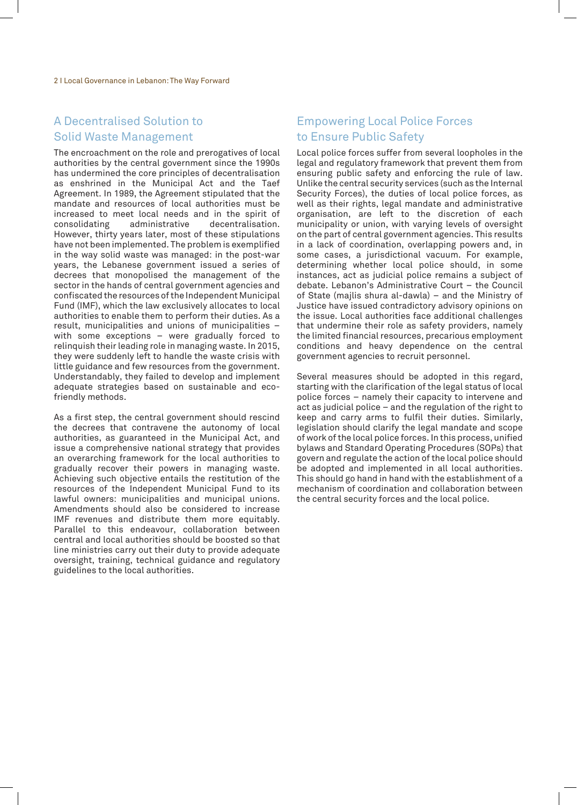#### A Decentralised Solution to Solid Waste Management

The encroachment on the role and prerogatives of local authorities by the central government since the 1990s has undermined the core principles of decentralisation as enshrined in the Municipal Act and the Taef Agreement. In 1989, the Agreement stipulated that the mandate and resources of local authorities must be increased to meet local needs and in the spirit of administrative decentralisation. However, thirty years later, most of these stipulations have not been implemented. The problem is exemplified in the way solid waste was managed: in the post-war years, the Lebanese government issued a series of decrees that monopolised the management of the sector in the hands of central government agencies and confiscated the resources of the Independent Municipal Fund (IMF), which the law exclusively allocates to local authorities to enable them to perform their duties. As a result, municipalities and unions of municipalities – with some exceptions – were gradually forced to relinquish their leading role in managing waste. In 2015, they were suddenly left to handle the waste crisis with little guidance and few resources from the government. Understandably, they failed to develop and implement adequate strategies based on sustainable and ecofriendly methods.

As a first step, the central government should rescind the decrees that contravene the autonomy of local authorities, as guaranteed in the Municipal Act, and issue a comprehensive national strategy that provides an overarching framework for the local authorities to gradually recover their powers in managing waste. Achieving such objective entails the restitution of the resources of the Independent Municipal Fund to its lawful owners: municipalities and municipal unions. Amendments should also be considered to increase IMF revenues and distribute them more equitably. Parallel to this endeavour, collaboration between central and local authorities should be boosted so that line ministries carry out their duty to provide adequate oversight, training, technical guidance and regulatory guidelines to the local authorities.

#### Empowering Local Police Forces to Ensure Public Safety

Local police forces suffer from several loopholes in the legal and regulatory framework that prevent them from ensuring public safety and enforcing the rule of law. Unlike the central security services (such as the Internal Security Forces), the duties of local police forces, as well as their rights, legal mandate and administrative organisation, are left to the discretion of each municipality or union, with varying levels of oversight on the part of central government agencies. This results in a lack of coordination, overlapping powers and, in some cases, a jurisdictional vacuum. For example, determining whether local police should, in some instances, act as judicial police remains a subject of debate. Lebanon's Administrative Court – the Council of State (majlis shura al-dawla) – and the Ministry of Justice have issued contradictory advisory opinions on the issue. Local authorities face additional challenges that undermine their role as safety providers, namely the limited financial resources, precarious employment conditions and heavy dependence on the central government agencies to recruit personnel.

Several measures should be adopted in this regard, starting with the clarification of the legal status of local police forces – namely their capacity to intervene and act as judicial police – and the regulation of the right to keep and carry arms to fulfil their duties. Similarly, legislation should clarify the legal mandate and scope of work of the local police forces. In this process, unified bylaws and Standard Operating Procedures (SOPs) that govern and regulate the action of the local police should be adopted and implemented in all local authorities. This should go hand in hand with the establishment of a mechanism of coordination and collaboration between the central security forces and the local police.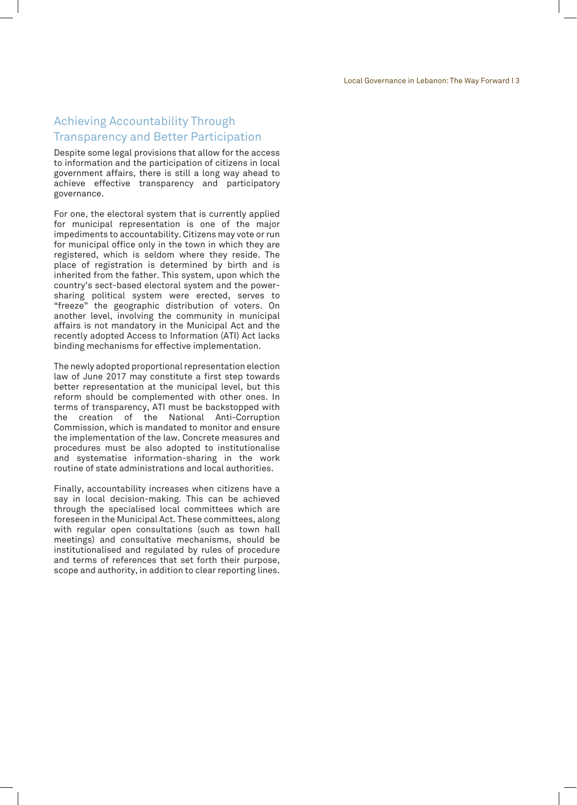#### Achieving Accountability Through Transparency and Better Participation

Despite some legal provisions that allow for the access to information and the participation of citizens in local government affairs, there is still a long way ahead to achieve effective transparency and participatory governance.

For one, the electoral system that is currently applied for municipal representation is one of the major impediments to accountability. Citizens may vote or run for municipal office only in the town in which they are registered, which is seldom where they reside. The place of registration is determined by birth and is inherited from the father. This system, upon which the country's sect-based electoral system and the powersharing political system were erected, serves to "freeze" the geographic distribution of voters. On another level, involving the community in municipal affairs is not mandatory in the Municipal Act and the recently adopted Access to Information (ATI) Act lacks binding mechanisms for effective implementation.

The newly adopted proportional representation election law of June 2017 may constitute a first step towards better representation at the municipal level, but this reform should be complemented with other ones. In terms of transparency, ATI must be backstopped with the creation of the National Anti-Corruption Commission, which is mandated to monitor and ensure the implementation of the law. Concrete measures and procedures must be also adopted to institutionalise and systematise information-sharing in the work routine of state administrations and local authorities.

Finally, accountability increases when citizens have a say in local decision-making. This can be achieved through the specialised local committees which are foreseen in the Municipal Act. These committees, along with regular open consultations (such as town hall meetings) and consultative mechanisms, should be institutionalised and regulated by rules of procedure and terms of references that set forth their purpose, scope and authority, in addition to clear reporting lines.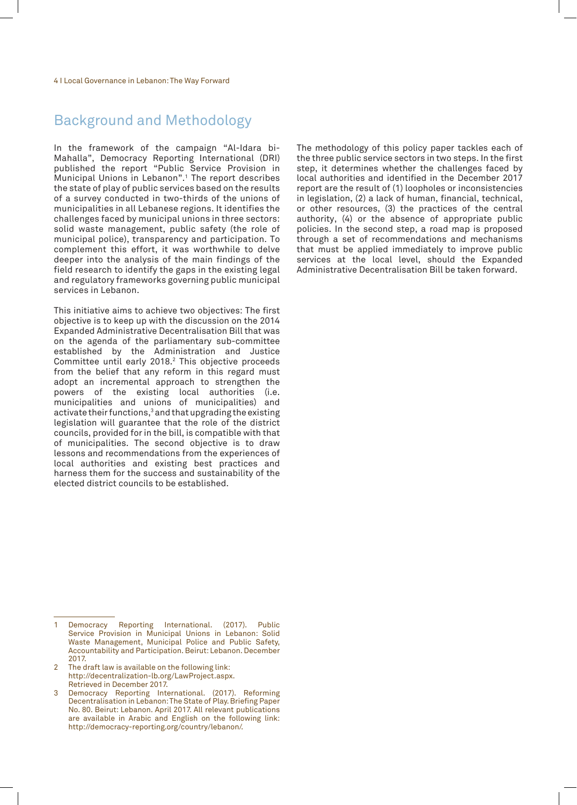## Background and Methodology

In the framework of the campaign "Al-Idara bi-Mahalla", Democracy Reporting International (DRI) published the report "Public Service Provision in Municipal Unions in Lebanon".1 The report describes the state of play of public services based on the results of a survey conducted in two-thirds of the unions of municipalities in all Lebanese regions. It identifies the challenges faced by municipal unions in three sectors: solid waste management, public safety (the role of municipal police), transparency and participation. To complement this effort, it was worthwhile to delve deeper into the analysis of the main findings of the field research to identify the gaps in the existing legal and regulatory frameworks governing public municipal services in Lebanon.

This initiative aims to achieve two objectives: The first objective is to keep up with the discussion on the 2014 Expanded Administrative Decentralisation Bill that was on the agenda of the parliamentary sub-committee established by the Administration and Justice Committee until early 2018.2 This objective proceeds from the belief that any reform in this regard must adopt an incremental approach to strengthen the powers of the existing local authorities (i.e. municipalities and unions of municipalities) and activate their functions, $^3$  and that upgrading the existing legislation will guarantee that the role of the district councils, provided for in the bill, is compatible with that of municipalities. The second objective is to draw lessons and recommendations from the experiences of local authorities and existing best practices and harness them for the success and sustainability of the elected district councils to be established.

- 2 The draft law is available on the following link: http://decentralization-lb.org/LawProject.aspx. Retrieved in December 2017.
- 3 Democracy Reporting International. (2017). Reforming Decentralisation in Lebanon: The State of Play. Briefing Paper No. 80. Beirut: Lebanon. April 2017. All relevant publications are available in Arabic and English on the following link: http://democracy-reporting.org/country/lebanon/.

The methodology of this policy paper tackles each of the three public service sectors in two steps. In the first step, it determines whether the challenges faced by local authorities and identified in the December 2017 report are the result of (1) loopholes or inconsistencies in legislation, (2) a lack of human, financial, technical, or other resources, (3) the practices of the central authority, (4) or the absence of appropriate public policies. In the second step, a road map is proposed through a set of recommendations and mechanisms that must be applied immediately to improve public services at the local level, should the Expanded Administrative Decentralisation Bill be taken forward.

Democracy Reporting International. (2017). Public Service Provision in Municipal Unions in Lebanon: Solid Waste Management, Municipal Police and Public Safety, Accountability and Participation. Beirut: Lebanon. December 2017.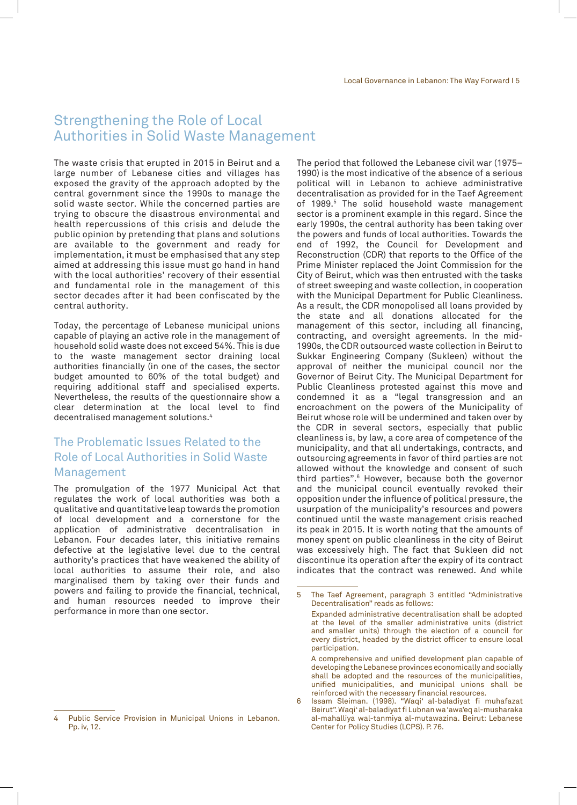### Strengthening the Role of Local Authorities in Solid Waste Management

The waste crisis that erupted in 2015 in Beirut and a large number of Lebanese cities and villages has exposed the gravity of the approach adopted by the central government since the 1990s to manage the solid waste sector. While the concerned parties are trying to obscure the disastrous environmental and health repercussions of this crisis and delude the public opinion by pretending that plans and solutions are available to the government and ready for implementation, it must be emphasised that any step aimed at addressing this issue must go hand in hand with the local authorities' recovery of their essential and fundamental role in the management of this sector decades after it had been confiscated by the central authority.

Today, the percentage of Lebanese municipal unions capable of playing an active role in the management of household solid waste does not exceed 54%. This is due to the waste management sector draining local authorities financially (in one of the cases, the sector budget amounted to 60% of the total budget) and requiring additional staff and specialised experts. Nevertheless, the results of the questionnaire show a clear determination at the local level to find decentralised management solutions.4

#### The Problematic Issues Related to the Role of Local Authorities in Solid Waste Management

The promulgation of the 1977 Municipal Act that regulates the work of local authorities was both a qualitative and quantitative leap towards the promotion of local development and a cornerstone for the application of administrative decentralisation in Lebanon. Four decades later, this initiative remains defective at the legislative level due to the central authority's practices that have weakened the ability of local authorities to assume their role, and also marginalised them by taking over their funds and powers and failing to provide the financial, technical, and human resources needed to improve their performance in more than one sector.

The period that followed the Lebanese civil war (1975– 1990) is the most indicative of the absence of a serious political will in Lebanon to achieve administrative decentralisation as provided for in the Taef Agreement of 1989.5 The solid household waste management sector is a prominent example in this regard. Since the early 1990s, the central authority has been taking over the powers and funds of local authorities. Towards the end of 1992, the Council for Development and Reconstruction (CDR) that reports to the Office of the Prime Minister replaced the Joint Commission for the City of Beirut, which was then entrusted with the tasks of street sweeping and waste collection, in cooperation with the Municipal Department for Public Cleanliness. As a result, the CDR monopolised all loans provided by the state and all donations allocated for the management of this sector, including all financing, contracting, and oversight agreements. In the mid-1990s, the CDR outsourced waste collection in Beirut to Sukkar Engineering Company (Sukleen) without the approval of neither the municipal council nor the Governor of Beirut City. The Municipal Department for Public Cleanliness protested against this move and condemned it as a "legal transgression and an encroachment on the powers of the Municipality of Beirut whose role will be undermined and taken over by the CDR in several sectors, especially that public cleanliness is, by law, a core area of competence of the municipality, and that all undertakings, contracts, and outsourcing agreements in favor of third parties are not allowed without the knowledge and consent of such third parties".6 However, because both the governor and the municipal council eventually revoked their opposition under the influence of political pressure, the usurpation of the municipality's resources and powers continued until the waste management crisis reached its peak in 2015. It is worth noting that the amounts of money spent on public cleanliness in the city of Beirut was excessively high. The fact that Sukleen did not discontinue its operation after the expiry of its contract indicates that the contract was renewed. And while

Public Service Provision in Municipal Unions in Lebanon. Pp. iv, 12.

<sup>5</sup> The Taef Agreement, paragraph 3 entitled "Administrative Decentralisation" reads as follows:

Expanded administrative decentralisation shall be adopted at the level of the smaller administrative units (district and smaller units) through the election of a council for every district, headed by the district officer to ensure local participation.

A comprehensive and unified development plan capable of developing the Lebanese provinces economically and socially shall be adopted and the resources of the municipalities, unified municipalities, and municipal unions shall be reinforced with the necessary financial resources.

<sup>6</sup> Issam Sleiman. (1998). "Waqi' al-baladiyat fi muhafazat Beirut". Waqi' al-baladiyat fi Lubnan wa 'awa'eq al-musharaka al-mahalliya wal-tanmiya al-mutawazina. Beirut: Lebanese Center for Policy Studies (LCPS). P. 76.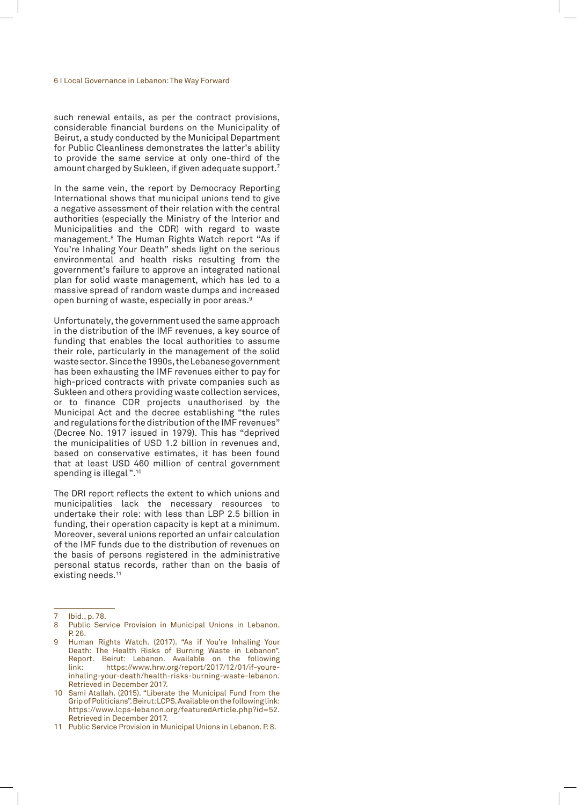such renewal entails, as per the contract provisions, considerable financial burdens on the Municipality of Beirut, a study conducted by the Municipal Department for Public Cleanliness demonstrates the latter's ability to provide the same service at only one-third of the amount charged by Sukleen, if given adequate support.7

In the same vein, the report by Democracy Reporting International shows that municipal unions tend to give a negative assessment of their relation with the central authorities (especially the Ministry of the Interior and Municipalities and the CDR) with regard to waste management.8 The Human Rights Watch report "As if You're Inhaling Your Death" sheds light on the serious environmental and health risks resulting from the government's failure to approve an integrated national plan for solid waste management, which has led to a massive spread of random waste dumps and increased open burning of waste, especially in poor areas.9

Unfortunately, the government used the same approach in the distribution of the IMF revenues, a key source of funding that enables the local authorities to assume their role, particularly in the management of the solid waste sector. Since the 1990s, the Lebanese government has been exhausting the IMF revenues either to pay for high-priced contracts with private companies such as Sukleen and others providing waste collection services, or to finance CDR projects unauthorised by the Municipal Act and the decree establishing "the rules and regulations for the distribution of the IMF revenues" (Decree No. 1917 issued in 1979). This has "deprived the municipalities of USD 1.2 billion in revenues and, based on conservative estimates, it has been found that at least USD 460 million of central government spending is illegal ".10

The DRI report reflects the extent to which unions and municipalities lack the necessary resources to undertake their role: with less than LBP 2.5 billion in funding, their operation capacity is kept at a minimum. Moreover, several unions reported an unfair calculation of the IMF funds due to the distribution of revenues on the basis of persons registered in the administrative personal status records, rather than on the basis of existing needs.<sup>11</sup>

Ibid., p. 78.

Public Service Provision in Municipal Unions in Lebanon. P. 26.

Human Rights Watch. (2017). "As if You're Inhaling Your Death: The Health Risks of Burning Waste in Lebanon". Report. Beirut: Lebanon. Available on the following link: https://www.hrw.org/report/2017/12/01/if-youreinhaling-your-death/health-risks-burning-waste-lebanon. Retrieved in December 2017.

<sup>10</sup> Sami Atallah. (2015). "Liberate the Municipal Fund from the Grip of Politicians". Beirut: LCPS. Available on the following link: https://www.lcps-lebanon.org/featuredArticle.php?id=52. Retrieved in December 2017.

<sup>11</sup> Public Service Provision in Municipal Unions in Lebanon. P. 8.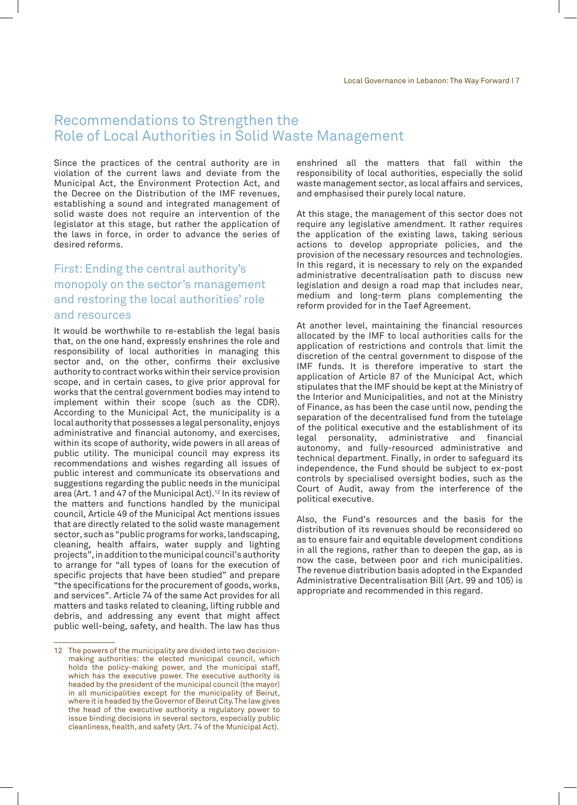### Recommendations to Strengthen the Role of Local Authorities in Solid Waste Management

Since the practices of the central authority are in violation of the current laws and deviate from the Municipal Act, the Environment Protection Act, and the Decree on the Distribution of the IMF revenues, establishing a sound and integrated management of solid waste does not require an intervention of the legislator at this stage, but rather the application of the laws in force, in order to advance the series of desired reforms.

#### First: Ending the central authority's monopoly on the sector's management and restoring the local authorities' role and resources

It would be worthwhile to re-establish the legal basis that, on the one hand, expressly enshrines the role and responsibility of local authorities in managing this sector and, on the other, confirms their exclusive authority to contract works within their service provision scope, and in certain cases, to give prior approval for works that the central government bodies may intend to implement within their scope (such as the CDR). According to the Municipal Act, the municipality is a local authority that possesses a legal personality, enjoys administrative and financial autonomy, and exercises, within its scope of authority, wide powers in all areas of public utility. The municipal council may express its recommendations and wishes regarding all issues of public interest and communicate its observations and suggestions regarding the public needs in the municipal area (Art. 1 and 47 of the Municipal Act).<sup>12</sup> In its review of the matters and functions handled by the municipal council, Article 49 of the Municipal Act mentions issues that are directly related to the solid waste management sector, such as "public programs for works, landscaping, cleaning, health affairs, water supply and lighting projects", in addition to the municipal council's authority to arrange for "all types of loans for the execution of specific projects that have been studied" and prepare "the specifications for the procurement of goods, works, and services". Article 74 of the same Act provides for all matters and tasks related to cleaning, lifting rubble and debris, and addressing any event that might affect public well-being, safety, and health. The law has thus

enshrined all the matters that fall within the responsibility of local authorities, especially the solid waste management sector, as local affairs and services, and emphasised their purely local nature.

At this stage, the management of this sector does not require any legislative amendment. It rather requires the application of the existing laws, taking serious actions to develop appropriate policies, and the provision of the necessary resources and technologies. In this regard, it is necessary to rely on the expanded administrative decentralisation path to discuss new legislation and design a road map that includes near, medium and long-term plans complementing the reform provided for in the Taef Agreement.

At another level, maintaining the financial resources allocated by the IMF to local authorities calls for the application of restrictions and controls that limit the discretion of the central government to dispose of the IMF funds. It is therefore imperative to start the application of Article 87 of the Municipal Act, which stipulates that the IMF should be kept at the Ministry of the Interior and Municipalities, and not at the Ministry of Finance, as has been the case until now, pending the separation of the decentralised fund from the tutelage of the political executive and the establishment of its legal personality, administrative and financial autonomy, and fully-resourced administrative and technical department. Finally, in order to safeguard its independence, the Fund should be subject to ex-post controls by specialised oversight bodies, such as the Court of Audit, away from the interference of the political executive.

Also, the Fund's resources and the basis for the distribution of its revenues should be reconsidered so as to ensure fair and equitable development conditions in all the regions, rather than to deepen the gap, as is now the case, between poor and rich municipalities. The revenue distribution basis adopted in the Expanded Administrative Decentralisation Bill (Art. 99 and 105) is appropriate and recommended in this regard.

<sup>12</sup> The powers of the municipality are divided into two decisionmaking authorities: the elected municipal council, which holds the policy-making power, and the municipal staff, which has the executive power. The executive authority is headed by the president of the municipal council (the mayor) in all municipalities except for the municipality of Beirut, where it is headed by the Governor of Beirut City. The law gives the head of the executive authority a regulatory power to issue binding decisions in several sectors, especially public cleanliness, health, and safety (Art. 74 of the Municipal Act).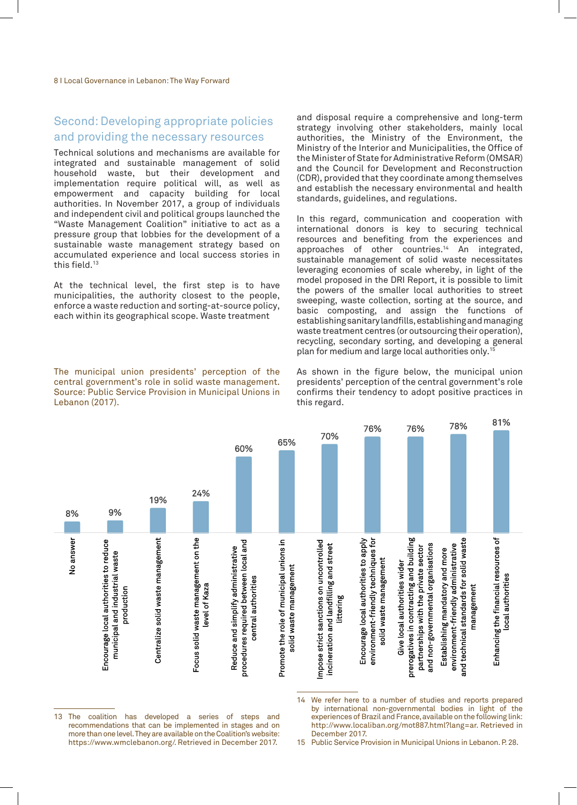#### Second: Developing appropriate policies and providing the necessary resources

Technical solutions and mechanisms are available for integrated and sustainable management of solid household waste, but their development and implementation require political will, as well as empowerment and capacity building for local authorities. In November 2017, a group of individuals and independent civil and political groups launched the "Waste Management Coalition" initiative to act as a pressure group that lobbies for the development of a sustainable waste management strategy based on accumulated experience and local success stories in this field.<sup>13</sup>

At the technical level, the first step is to have municipalities, the authority closest to the people, enforce a waste reduction and sorting-at-source policy, each within its geographical scope. Waste treatment

The municipal union presidents' perception of the central government's role in solid waste management. Source: Public Service Provision in Municipal Unions in Lebanon (2017).

and disposal require a comprehensive and long-term strategy involving other stakeholders, mainly local authorities, the Ministry of the Environment, the Ministry of the Interior and Municipalities, the Office of the Minister of State for Administrative Reform (OMSAR) and the Council for Development and Reconstruction (CDR), provided that they coordinate among themselves and establish the necessary environmental and health standards, guidelines, and regulations.

In this regard, communication and cooperation with international donors is key to securing technical resources and benefiting from the experiences and approaches of other countries.14 An integrated, sustainable management of solid waste necessitates leveraging economies of scale whereby, in light of the model proposed in the DRI Report, it is possible to limit the powers of the smaller local authorities to street sweeping, waste collection, sorting at the source, and basic composting, and assign the functions of establishing sanitary landfills, establishing and managing waste treatment centres (or outsourcing their operation), recycling, secondary sorting, and developing a general plan for medium and large local authorities only.15

As shown in the figure below, the municipal union presidents' perception of the central government's role confirms their tendency to adopt positive practices in this regard.



13 The coalition has developed a series of steps and recommendations that can be implemented in stages and on more than one level. They are available on the Coalition's website: https://www.wmclebanon.org/. Retrieved in December 2017.

15 Public Service Provision in Municipal Unions in Lebanon. P. 28.

<sup>14</sup> We refer here to a number of studies and reports prepared by international non-governmental bodies in light of the experiences of Brazil and France, available on the following link: http://www.localiban.org/mot887.html?lang=ar. Retrieved in December 2017.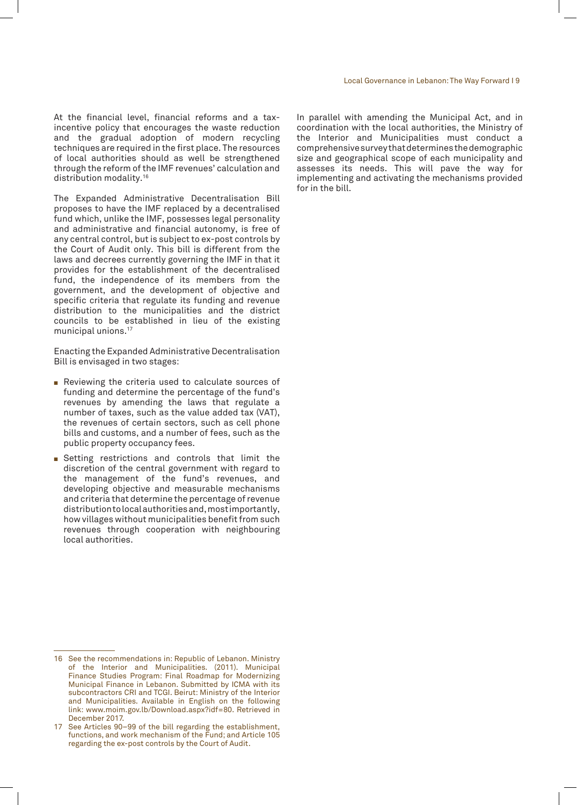At the financial level, financial reforms and a taxincentive policy that encourages the waste reduction and the gradual adoption of modern recycling techniques are required in the first place. The resources of local authorities should as well be strengthened through the reform of the IMF revenues' calculation and distribution modality.16

The Expanded Administrative Decentralisation Bill proposes to have the IMF replaced by a decentralised fund which, unlike the IMF, possesses legal personality and administrative and financial autonomy, is free of any central control, but is subject to ex-post controls by the Court of Audit only. This bill is different from the laws and decrees currently governing the IMF in that it provides for the establishment of the decentralised fund, the independence of its members from the government, and the development of objective and specific criteria that regulate its funding and revenue distribution to the municipalities and the district councils to be established in lieu of the existing municipal unions.17

Enacting the Expanded Administrative Decentralisation Bill is envisaged in two stages:

- $\blacksquare$  Reviewing the criteria used to calculate sources of funding and determine the percentage of the fund's revenues by amending the laws that regulate a number of taxes, such as the value added tax (VAT), the revenues of certain sectors, such as cell phone bills and customs, and a number of fees, such as the public property occupancy fees.
- Setting restrictions and controls that limit the discretion of the central government with regard to the management of the fund's revenues, and developing objective and measurable mechanisms and criteria that determine the percentage of revenue distribution to local authorities and, most importantly, how villages without municipalities benefit from such revenues through cooperation with neighbouring local authorities.

In parallel with amending the Municipal Act, and in coordination with the local authorities, the Ministry of the Interior and Municipalities must conduct a comprehensive survey that determines the demographic size and geographical scope of each municipality and assesses its needs. This will pave the way for implementing and activating the mechanisms provided for in the bill.

<sup>16</sup> See the recommendations in: Republic of Lebanon. Ministry of the Interior and Municipalities. (2011). Municipal Finance Studies Program: Final Roadmap for Modernizing Municipal Finance in Lebanon. Submitted by ICMA with its subcontractors CRI and TCGI. Beirut: Ministry of the Interior and Municipalities. Available in English on the following link: www.moim.gov.lb/Download.aspx?idf=80. Retrieved in December 2017.

<sup>17</sup> See Articles 90–99 of the bill regarding the establishment, functions, and work mechanism of the Fund; and Article 105 regarding the ex-post controls by the Court of Audit.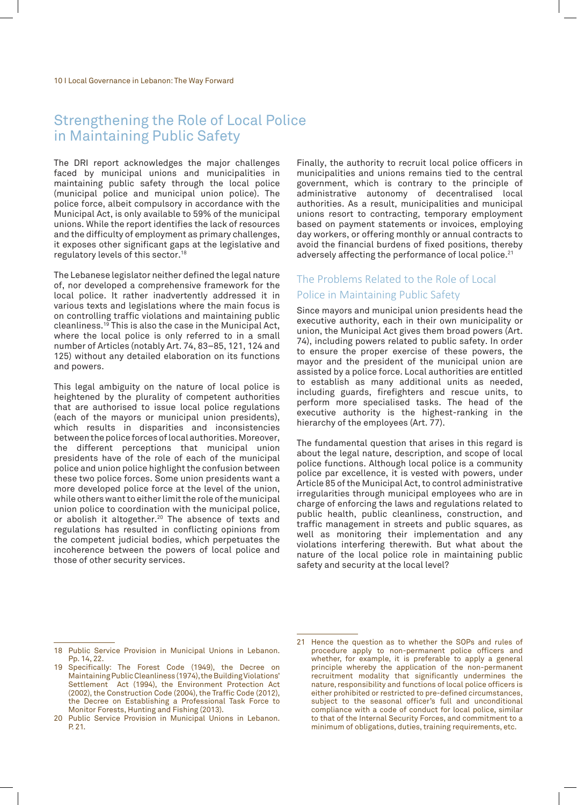### Strengthening the Role of Local Police in Maintaining Public Safety

The DRI report acknowledges the major challenges faced by municipal unions and municipalities in maintaining public safety through the local police (municipal police and municipal union police). The police force, albeit compulsory in accordance with the Municipal Act, is only available to 59% of the municipal unions. While the report identifies the lack of resources and the difficulty of employment as primary challenges, it exposes other significant gaps at the legislative and regulatory levels of this sector.18

The Lebanese legislator neither defined the legal nature of, nor developed a comprehensive framework for the local police. It rather inadvertently addressed it in various texts and legislations where the main focus is on controlling traffic violations and maintaining public cleanliness.19 This is also the case in the Municipal Act, where the local police is only referred to in a small number of Articles (notably Art. 74, 83–85, 121, 124 and 125) without any detailed elaboration on its functions and powers.

This legal ambiguity on the nature of local police is heightened by the plurality of competent authorities that are authorised to issue local police regulations (each of the mayors or municipal union presidents), which results in disparities and inconsistencies between the police forces of local authorities. Moreover, the different perceptions that municipal union presidents have of the role of each of the municipal police and union police highlight the confusion between these two police forces. Some union presidents want a more developed police force at the level of the union, while others want to either limit the role of the municipal union police to coordination with the municipal police, or abolish it altogether.20 The absence of texts and regulations has resulted in conflicting opinions from the competent judicial bodies, which perpetuates the incoherence between the powers of local police and those of other security services.

Finally, the authority to recruit local police officers in municipalities and unions remains tied to the central government, which is contrary to the principle of administrative autonomy of decentralised local authorities. As a result, municipalities and municipal unions resort to contracting, temporary employment based on payment statements or invoices, employing day workers, or offering monthly or annual contracts to avoid the financial burdens of fixed positions, thereby adversely affecting the performance of local police.<sup>21</sup>

#### The Problems Related to the Role of Local Police in Maintaining Public Safety

Since mayors and municipal union presidents head the executive authority, each in their own municipality or union, the Municipal Act gives them broad powers (Art. 74), including powers related to public safety. In order to ensure the proper exercise of these powers, the mayor and the president of the municipal union are assisted by a police force. Local authorities are entitled to establish as many additional units as needed, including guards, firefighters and rescue units, to perform more specialised tasks. The head of the executive authority is the highest-ranking in the hierarchy of the employees (Art. 77).

The fundamental question that arises in this regard is about the legal nature, description, and scope of local police functions. Although local police is a community police par excellence, it is vested with powers, under Article 85 of the Municipal Act, to control administrative irregularities through municipal employees who are in charge of enforcing the laws and regulations related to public health, public cleanliness, construction, and traffic management in streets and public squares, as well as monitoring their implementation and any violations interfering therewith. But what about the nature of the local police role in maintaining public safety and security at the local level?

<sup>18</sup> Public Service Provision in Municipal Unions in Lebanon. Pp. 14, 22.

<sup>19</sup> Specifically: The Forest Code (1949), the Decree on Maintaining Public Cleanliness (1974), the Building Violations' Settlement Act (1994), the Environment Protection Act (2002), the Construction Code (2004), the Traffic Code (2012), the Decree on Establishing a Professional Task Force to Monitor Forests, Hunting and Fishing (2013).

<sup>20</sup> Public Service Provision in Municipal Unions in Lebanon. P. 21.

<sup>21</sup> Hence the question as to whether the SOPs and rules of procedure apply to non-permanent police officers and whether, for example, it is preferable to apply a general principle whereby the application of the non-permanent recruitment modality that significantly undermines the nature, responsibility and functions of local police officers is either prohibited or restricted to pre-defined circumstances, subject to the seasonal officer's full and unconditional compliance with a code of conduct for local police, similar to that of the Internal Security Forces, and commitment to a minimum of obligations, duties, training requirements, etc.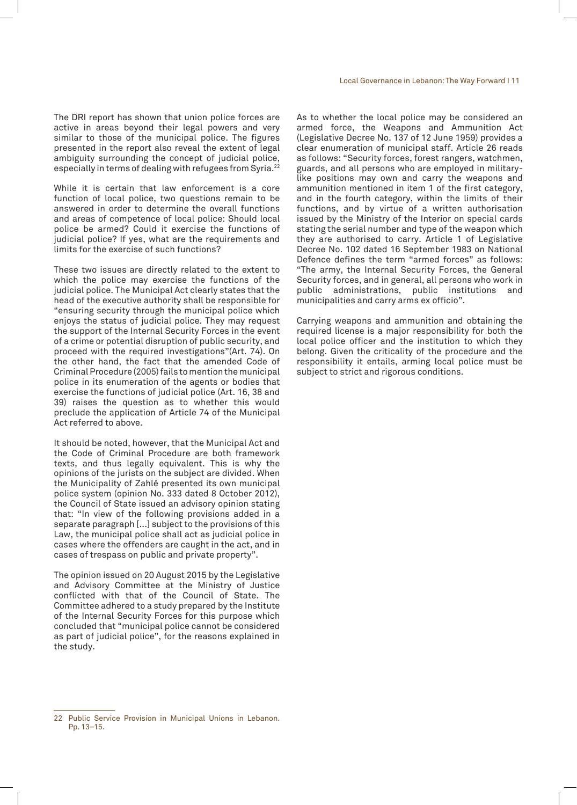The DRI report has shown that union police forces are active in areas beyond their legal powers and very similar to those of the municipal police. The figures presented in the report also reveal the extent of legal ambiguity surrounding the concept of judicial police, especially in terms of dealing with refugees from Syria.22

While it is certain that law enforcement is a core function of local police, two questions remain to be answered in order to determine the overall functions and areas of competence of local police: Should local police be armed? Could it exercise the functions of judicial police? If yes, what are the requirements and limits for the exercise of such functions?

These two issues are directly related to the extent to which the police may exercise the functions of the judicial police. The Municipal Act clearly states that the head of the executive authority shall be responsible for "ensuring security through the municipal police which enjoys the status of judicial police. They may request the support of the Internal Security Forces in the event of a crime or potential disruption of public security, and proceed with the required investigations"(Art. 74). On the other hand, the fact that the amended Code of Criminal Procedure (2005) fails to mention the municipal police in its enumeration of the agents or bodies that exercise the functions of judicial police (Art. 16, 38 and 39) raises the question as to whether this would preclude the application of Article 74 of the Municipal Act referred to above.

It should be noted, however, that the Municipal Act and the Code of Criminal Procedure are both framework texts, and thus legally equivalent. This is why the opinions of the jurists on the subject are divided. When the Municipality of Zahlé presented its own municipal police system (opinion No. 333 dated 8 October 2012), the Council of State issued an advisory opinion stating that: "In view of the following provisions added in a separate paragraph [...] subject to the provisions of this Law, the municipal police shall act as judicial police in cases where the offenders are caught in the act, and in cases of trespass on public and private property".

The opinion issued on 20 August 2015 by the Legislative and Advisory Committee at the Ministry of Justice conflicted with that of the Council of State. The Committee adhered to a study prepared by the Institute of the Internal Security Forces for this purpose which concluded that "municipal police cannot be considered as part of judicial police", for the reasons explained in the study.

As to whether the local police may be considered an armed force, the Weapons and Ammunition Act (Legislative Decree No. 137 of 12 June 1959) provides a clear enumeration of municipal staff. Article 26 reads as follows: "Security forces, forest rangers, watchmen, guards, and all persons who are employed in militarylike positions may own and carry the weapons and ammunition mentioned in item 1 of the first category, and in the fourth category, within the limits of their functions, and by virtue of a written authorisation issued by the Ministry of the Interior on special cards stating the serial number and type of the weapon which they are authorised to carry. Article 1 of Legislative Decree No. 102 dated 16 September 1983 on National Defence defines the term "armed forces" as follows: "The army, the Internal Security Forces, the General Security forces, and in general, all persons who work in public administrations, public institutions and municipalities and carry arms ex officio".

Carrying weapons and ammunition and obtaining the required license is a major responsibility for both the local police officer and the institution to which they belong. Given the criticality of the procedure and the responsibility it entails, arming local police must be subject to strict and rigorous conditions.

<sup>22</sup> Public Service Provision in Municipal Unions in Lebanon. Pp. 13–15.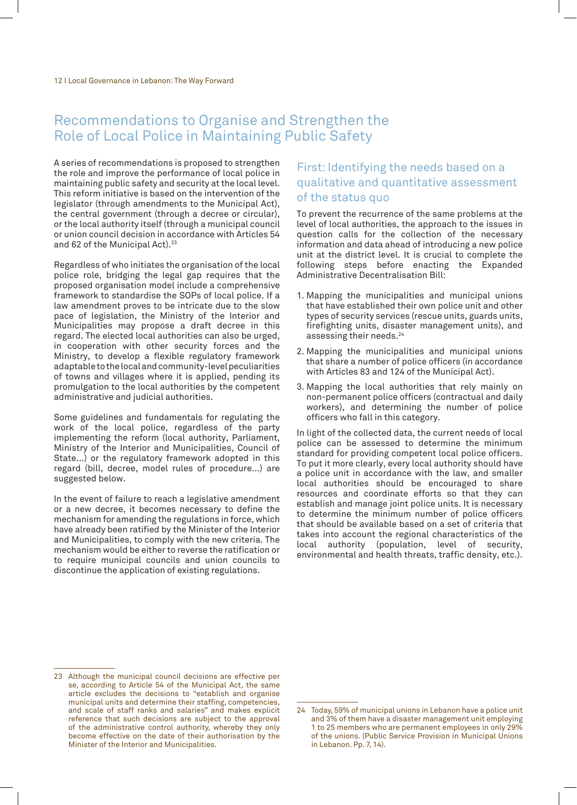### Recommendations to Organise and Strengthen the Role of Local Police in Maintaining Public Safety

A series of recommendations is proposed to strengthen the role and improve the performance of local police in maintaining public safety and security at the local level. This reform initiative is based on the intervention of the legislator (through amendments to the Municipal Act), the central government (through a decree or circular), or the local authority itself (through a municipal council or union council decision in accordance with Articles 54 and 62 of the Municipal Act).<sup>23</sup>

Regardless of who initiates the organisation of the local police role, bridging the legal gap requires that the proposed organisation model include a comprehensive framework to standardise the SOPs of local police. If a law amendment proves to be intricate due to the slow pace of legislation, the Ministry of the Interior and Municipalities may propose a draft decree in this regard. The elected local authorities can also be urged, in cooperation with other security forces and the Ministry, to develop a flexible regulatory framework adaptable to the local and community-level peculiarities of towns and villages where it is applied, pending its promulgation to the local authorities by the competent administrative and judicial authorities.

Some guidelines and fundamentals for regulating the work of the local police, regardless of the party implementing the reform (local authority, Parliament, Ministry of the Interior and Municipalities, Council of State...) or the regulatory framework adopted in this regard (bill, decree, model rules of procedure...) are suggested below.

In the event of failure to reach a legislative amendment or a new decree, it becomes necessary to define the mechanism for amending the regulations in force, which have already been ratified by the Minister of the Interior and Municipalities, to comply with the new criteria. The mechanism would be either to reverse the ratification or to require municipal councils and union councils to discontinue the application of existing regulations.

### First: Identifying the needs based on a qualitative and quantitative assessment of the status quo

To prevent the recurrence of the same problems at the level of local authorities, the approach to the issues in question calls for the collection of the necessary information and data ahead of introducing a new police unit at the district level. It is crucial to complete the following steps before enacting the Expanded Administrative Decentralisation Bill:

- 1. Mapping the municipalities and municipal unions that have established their own police unit and other types of security services (rescue units, guards units, firefighting units, disaster management units), and assessing their needs.24
- 2. Mapping the municipalities and municipal unions that share a number of police officers (in accordance with Articles 83 and 124 of the Municipal Act).
- 3. Mapping the local authorities that rely mainly on non-permanent police officers (contractual and daily workers), and determining the number of police officers who fall in this category.

In light of the collected data, the current needs of local police can be assessed to determine the minimum standard for providing competent local police officers. To put it more clearly, every local authority should have a police unit in accordance with the law, and smaller local authorities should be encouraged to share resources and coordinate efforts so that they can establish and manage joint police units. It is necessary to determine the minimum number of police officers that should be available based on a set of criteria that takes into account the regional characteristics of the local authority (population, level of security, environmental and health threats, traffic density, etc.).

<sup>23</sup> Although the municipal council decisions are effective per se, according to Article 54 of the Municipal Act, the same article excludes the decisions to "establish and organise municipal units and determine their staffing, competencies, and scale of staff ranks and salaries" and makes explicit reference that such decisions are subject to the approval of the administrative control authority, whereby they only become effective on the date of their authorisation by the Minister of the Interior and Municipalities.

<sup>24</sup> Today, 59% of municipal unions in Lebanon have a police unit and 3% of them have a disaster management unit employing 1 to 25 members who are permanent employees in only 29% of the unions. (Public Service Provision in Municipal Unions in Lebanon. Pp. 7, 14).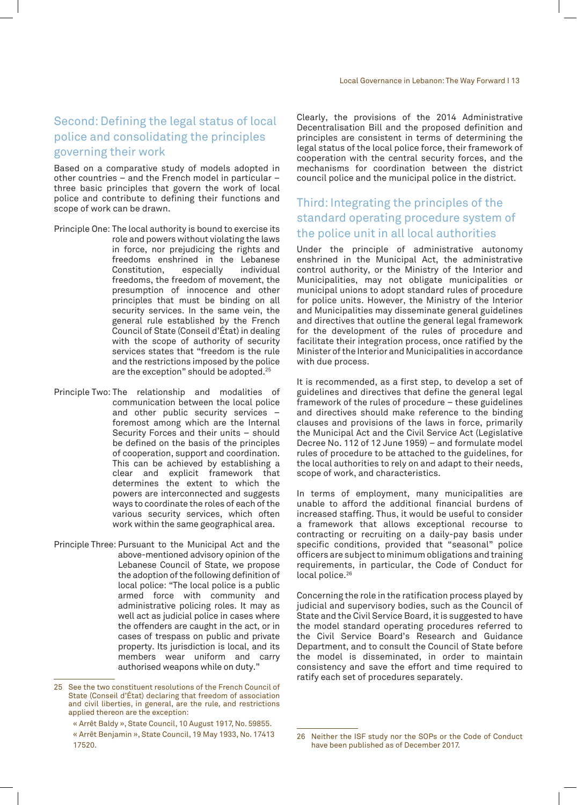#### Second: Defining the legal status of local police and consolidating the principles governing their work

Based on a comparative study of models adopted in other countries – and the French model in particular – three basic principles that govern the work of local police and contribute to defining their functions and scope of work can be drawn.

- Principle One: The local authority is bound to exercise its role and powers without violating the laws in force, nor prejudicing the rights and freedoms enshrined in the Lebanese<br>Constitution, especially individual Constitution, freedoms, the freedom of movement, the presumption of innocence and other principles that must be binding on all security services. In the same vein, the general rule established by the French Council of State (Conseil d'État) in dealing with the scope of authority of security services states that "freedom is the rule and the restrictions imposed by the police are the exception" should be adopted.25
- Principle Two: The relationship and modalities of communication between the local police and other public security services – foremost among which are the Internal Security Forces and their units – should be defined on the basis of the principles of cooperation, support and coordination. This can be achieved by establishing a clear and explicit framework that determines the extent to which the powers are interconnected and suggests ways to coordinate the roles of each of the various security services, which often work within the same geographical area.
- Principle Three: Pursuant to the Municipal Act and the above-mentioned advisory opinion of the Lebanese Council of State, we propose the adoption of the following definition of local police: "The local police is a public armed force with community and administrative policing roles. It may as well act as judicial police in cases where the offenders are caught in the act, or in cases of trespass on public and private property. Its jurisdiction is local, and its members wear uniform and carry authorised weapons while on duty."

Clearly, the provisions of the 2014 Administrative Decentralisation Bill and the proposed definition and principles are consistent in terms of determining the legal status of the local police force, their framework of cooperation with the central security forces, and the mechanisms for coordination between the district council police and the municipal police in the district.

#### Third: Integrating the principles of the standard operating procedure system of the police unit in all local authorities

Under the principle of administrative autonomy enshrined in the Municipal Act, the administrative control authority, or the Ministry of the Interior and Municipalities, may not obligate municipalities or municipal unions to adopt standard rules of procedure for police units. However, the Ministry of the Interior and Municipalities may disseminate general guidelines and directives that outline the general legal framework for the development of the rules of procedure and facilitate their integration process, once ratified by the Minister of the Interior and Municipalities in accordance with due process.

It is recommended, as a first step, to develop a set of guidelines and directives that define the general legal framework of the rules of procedure – these guidelines and directives should make reference to the binding clauses and provisions of the laws in force, primarily the Municipal Act and the Civil Service Act (Legislative Decree No. 112 of 12 June 1959) – and formulate model rules of procedure to be attached to the guidelines, for the local authorities to rely on and adapt to their needs, scope of work, and characteristics.

In terms of employment, many municipalities are unable to afford the additional financial burdens of increased staffing. Thus, it would be useful to consider a framework that allows exceptional recourse to contracting or recruiting on a daily-pay basis under specific conditions, provided that "seasonal" police officers are subject to minimum obligations and training requirements, in particular, the Code of Conduct for local police.<sup>26</sup>

Concerning the role in the ratification process played by judicial and supervisory bodies, such as the Council of State and the Civil Service Board, it is suggested to have the model standard operating procedures referred to the Civil Service Board's Research and Guidance Department, and to consult the Council of State before the model is disseminated, in order to maintain consistency and save the effort and time required to ratify each set of procedures separately.

<sup>25</sup> See the two constituent resolutions of the French Council of State (Conseil d'État) declaring that freedom of association and civil liberties, in general, are the rule, and restrictions applied thereon are the exception:

<sup>«</sup> Arrêt Baldy », State Council, 10 August 1917, No. 59855.

<sup>«</sup> Arrêt Benjamin », State Council, 19 May 1933, No. 17413 17520.

<sup>26</sup> Neither the ISF study nor the SOPs or the Code of Conduct have been published as of December 2017.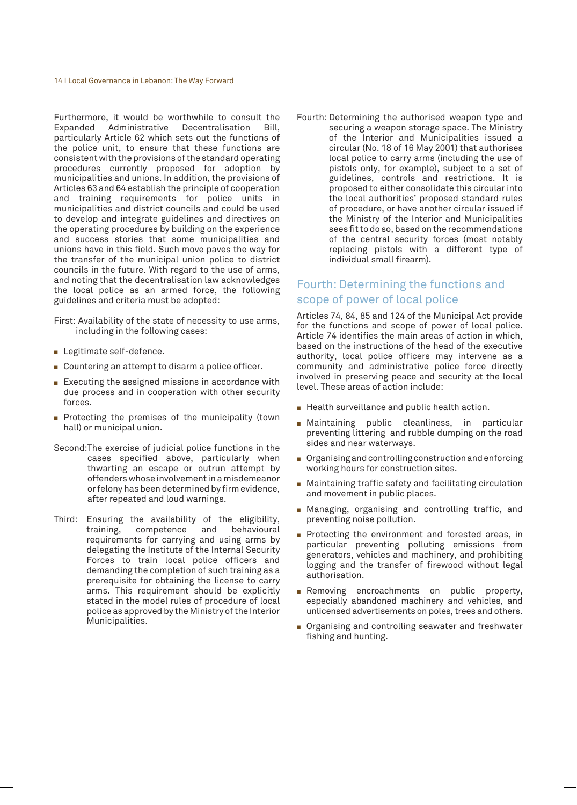#### 14 I Local Governance in Lebanon: The Way Forward

Furthermore, it would be worthwhile to consult the Expanded Administrative Decentralisation Bill, particularly Article 62 which sets out the functions of the police unit, to ensure that these functions are consistent with the provisions of the standard operating procedures currently proposed for adoption by municipalities and unions. In addition, the provisions of Articles 63 and 64 establish the principle of cooperation and training requirements for police units in municipalities and district councils and could be used to develop and integrate guidelines and directives on the operating procedures by building on the experience and success stories that some municipalities and unions have in this field. Such move paves the way for the transfer of the municipal union police to district councils in the future. With regard to the use of arms, and noting that the decentralisation law acknowledges the local police as an armed force, the following guidelines and criteria must be adopted:

First: Availability of the state of necessity to use arms, including in the following cases:

- $\blacksquare$  Legitimate self-defence.
- Countering an attempt to disarm a police officer.
- Executing the assigned missions in accordance with due process and in cooperation with other security forces.
- Protecting the premises of the municipality (town hall) or municipal union.
- Second:The exercise of judicial police functions in the cases specified above, particularly when thwarting an escape or outrun attempt by offenders whose involvement in a misdemeanor or felony has been determined by firm evidence, after repeated and loud warnings.
- Third: Ensuring the availability of the eligibility, training, competence and behavioural requirements for carrying and using arms by delegating the Institute of the Internal Security Forces to train local police officers and demanding the completion of such training as a prerequisite for obtaining the license to carry arms. This requirement should be explicitly stated in the model rules of procedure of local police as approved by the Ministry of the Interior Municipalities.
- Fourth: Determining the authorised weapon type and
	- securing a weapon storage space. The Ministry of the Interior and Municipalities issued a circular (No. 18 of 16 May 2001) that authorises local police to carry arms (including the use of pistols only, for example), subject to a set of guidelines, controls and restrictions. It is proposed to either consolidate this circular into the local authorities' proposed standard rules of procedure, or have another circular issued if the Ministry of the Interior and Municipalities sees fit to do so, based on the recommendations of the central security forces (most notably replacing pistols with a different type of individual small firearm).

#### Fourth: Determining the functions and scope of power of local police

Articles 74, 84, 85 and 124 of the Municipal Act provide for the functions and scope of power of local police. Article 74 identifies the main areas of action in which, based on the instructions of the head of the executive authority, local police officers may intervene as a community and administrative police force directly involved in preserving peace and security at the local level. These areas of action include:

- $\blacksquare$  Health surveillance and public health action.
- **E** Maintaining public cleanliness, in particular preventing littering and rubble dumping on the road sides and near waterways.
- $\blacksquare$  Organising and controlling construction and enforcing working hours for construction sites.
- $\blacksquare$  Maintaining traffic safety and facilitating circulation and movement in public places.
- **Managing, organising and controlling traffic, and** preventing noise pollution.
- **Protecting the environment and forested areas, in** particular preventing polluting emissions from generators, vehicles and machinery, and prohibiting logging and the transfer of firewood without legal authorisation.
- **Removing encroachments on public property,** especially abandoned machinery and vehicles, and unlicensed advertisements on poles, trees and others.
- **Diding 19 Organising and controlling seawater and freshwater** fishing and hunting.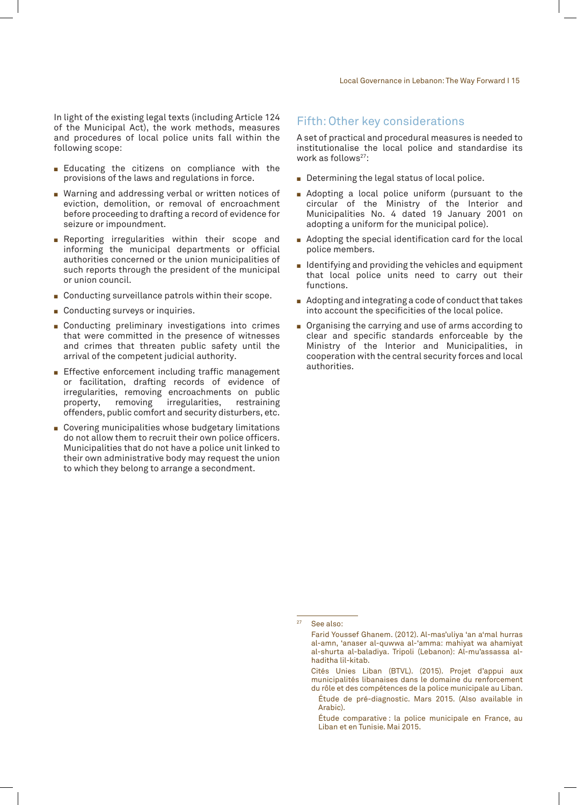In light of the existing legal texts (including Article 124 of the Municipal Act), the work methods, measures and procedures of local police units fall within the following scope:

- **Educating the citizens on compliance with the** provisions of the laws and regulations in force.
- Warning and addressing verbal or written notices of eviction, demolition, or removal of encroachment before proceeding to drafting a record of evidence for seizure or impoundment.
- **Reporting irregularities within their scope and** informing the municipal departments or official authorities concerned or the union municipalities of such reports through the president of the municipal or union council.
- Conducting surveillance patrols within their scope.
- $\blacksquare$  Conducting surveys or inquiries.
- **Conducting preliminary investigations into crimes** that were committed in the presence of witnesses and crimes that threaten public safety until the arrival of the competent judicial authority.
- **Effective enforcement including traffic management** or facilitation, drafting records of evidence of irregularities, removing encroachments on public<br>property, removing irregularities, restraining irregularities, restraining offenders, public comfort and security disturbers, etc.
- Covering municipalities whose budgetary limitations do not allow them to recruit their own police officers. Municipalities that do not have a police unit linked to their own administrative body may request the union to which they belong to arrange a secondment.

#### Fifth: Other key considerations

A set of practical and procedural measures is needed to institutionalise the local police and standardise its work as follows<sup>27</sup>:

- $\blacksquare$  Determining the legal status of local police.
- **E** Adopting a local police uniform (pursuant to the circular of the Ministry of the Interior and Municipalities No. 4 dated 19 January 2001 on adopting a uniform for the municipal police).
- $\blacksquare$  Adopting the special identification card for the local police members.
- $\blacksquare$  Identifying and providing the vehicles and equipment that local police units need to carry out their functions.
- $\blacksquare$  Adopting and integrating a code of conduct that takes into account the specificities of the local police.
- **Dimeshims** Organising the carrying and use of arms according to clear and specific standards enforceable by the Ministry of the Interior and Municipalities, in cooperation with the central security forces and local authorities.

See also:

Farid Youssef Ghanem. (2012). Al-mas'uliya 'an a'mal hurras al-amn, 'anaser al-quwwa al-'amma: mahiyat wa ahamiyat al-shurta al-baladiya. Tripoli (Lebanon): Al-mu'assassa alhaditha lil-kitab.

Cités Unies Liban (BTVL). (2015). Projet d'appui aux municipalités libanaises dans le domaine du renforcement du rôle et des compétences de la police municipale au Liban.

Étude de pré-diagnostic. Mars 2015. (Also available in Arabic).

Étude comparative : la police municipale en France, au Liban et en Tunisie. Mai 2015.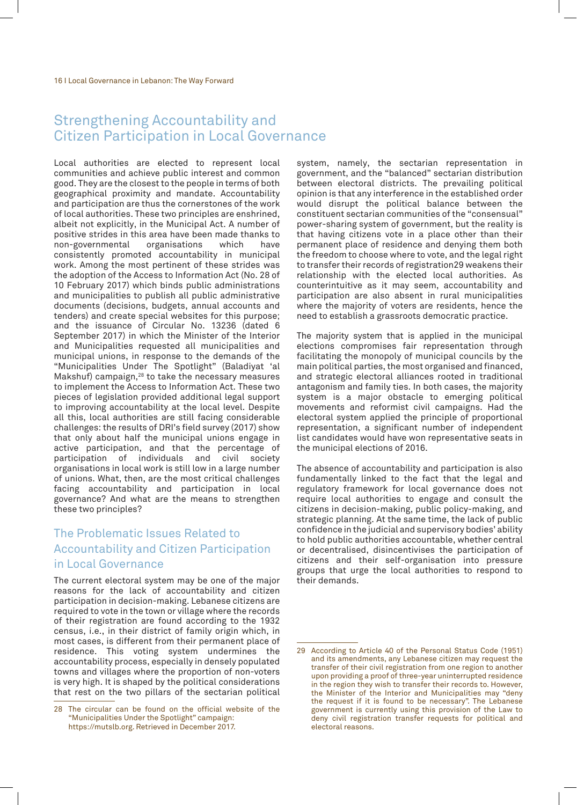### Strengthening Accountability and Citizen Participation in Local Governance

Local authorities are elected to represent local communities and achieve public interest and common good. They are the closest to the people in terms of both geographical proximity and mandate. Accountability and participation are thus the cornerstones of the work of local authorities. These two principles are enshrined, albeit not explicitly, in the Municipal Act. A number of positive strides in this area have been made thanks to<br>non-governmental organisations which have non-governmental consistently promoted accountability in municipal work. Among the most pertinent of these strides was the adoption of the Access to Information Act (No. 28 of 10 February 2017) which binds public administrations and municipalities to publish all public administrative documents (decisions, budgets, annual accounts and tenders) and create special websites for this purpose; and the issuance of Circular No. 13236 (dated 6 September 2017) in which the Minister of the Interior and Municipalities requested all municipalities and municipal unions, in response to the demands of the "Municipalities Under The Spotlight" (Baladiyat 'al Makshuf) campaign,28 to take the necessary measures to implement the Access to Information Act. These two pieces of legislation provided additional legal support to improving accountability at the local level. Despite all this, local authorities are still facing considerable challenges: the results of DRI's field survey (2017) show that only about half the municipal unions engage in active participation, and that the percentage of participation of individuals and civil society organisations in local work is still low in a large number of unions. What, then, are the most critical challenges facing accountability and participation in local governance? And what are the means to strengthen these two principles?

#### The Problematic Issues Related to Accountability and Citizen Participation in Local Governance

The current electoral system may be one of the major reasons for the lack of accountability and citizen participation in decision-making. Lebanese citizens are required to vote in the town or village where the records of their registration are found according to the 1932 census, i.e., in their district of family origin which, in most cases, is different from their permanent place of residence. This voting system undermines the accountability process, especially in densely populated towns and villages where the proportion of non-voters is very high. It is shaped by the political considerations that rest on the two pillars of the sectarian political

system, namely, the sectarian representation in government, and the "balanced" sectarian distribution between electoral districts. The prevailing political opinion is that any interference in the established order would disrupt the political balance between the constituent sectarian communities of the "consensual" power-sharing system of government, but the reality is that having citizens vote in a place other than their permanent place of residence and denying them both the freedom to choose where to vote, and the legal right to transfer their records of registration29 weakens their relationship with the elected local authorities. As counterintuitive as it may seem, accountability and participation are also absent in rural municipalities where the majority of voters are residents, hence the need to establish a grassroots democratic practice.

The majority system that is applied in the municipal elections compromises fair representation through facilitating the monopoly of municipal councils by the main political parties, the most organised and financed, and strategic electoral alliances rooted in traditional antagonism and family ties. In both cases, the majority system is a major obstacle to emerging political movements and reformist civil campaigns. Had the electoral system applied the principle of proportional representation, a significant number of independent list candidates would have won representative seats in the municipal elections of 2016.

The absence of accountability and participation is also fundamentally linked to the fact that the legal and regulatory framework for local governance does not require local authorities to engage and consult the citizens in decision-making, public policy-making, and strategic planning. At the same time, the lack of public confidence in the judicial and supervisory bodies' ability to hold public authorities accountable, whether central or decentralised, disincentivises the participation of citizens and their self-organisation into pressure groups that urge the local authorities to respond to their demands.

<sup>28</sup> The circular can be found on the official website of the "Municipalities Under the Spotlight" campaign: https://mutslb.org. Retrieved in December 2017.

<sup>29</sup> According to Article 40 of the Personal Status Code (1951) and its amendments, any Lebanese citizen may request the transfer of their civil registration from one region to another upon providing a proof of three-year uninterrupted residence in the region they wish to transfer their records to. However, the Minister of the Interior and Municipalities may "deny the request if it is found to be necessary". The Lebanese government is currently using this provision of the Law to deny civil registration transfer requests for political and electoral reasons.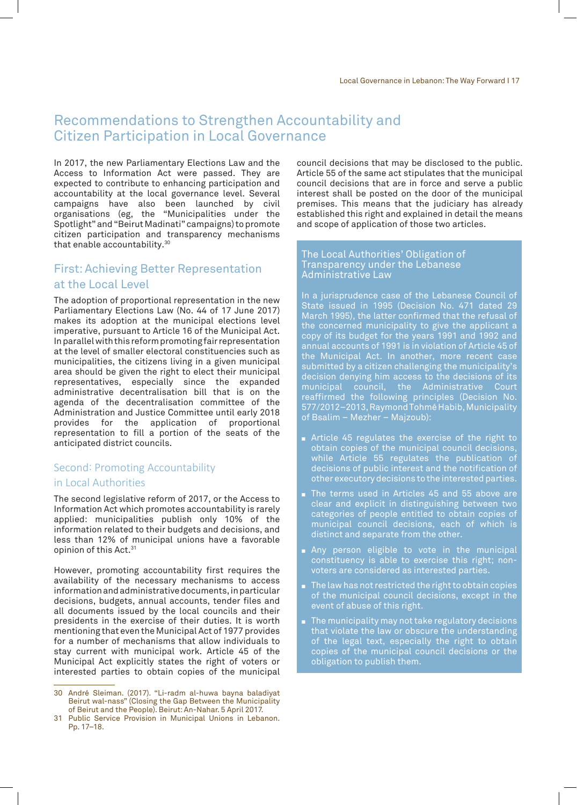### Recommendations to Strengthen Accountability and Citizen Participation in Local Governance

In 2017, the new Parliamentary Elections Law and the Access to Information Act were passed. They are expected to contribute to enhancing participation and accountability at the local governance level. Several campaigns have also been launched by civil organisations (eg, the "Municipalities under the Spotlight" and "Beirut Madinati" campaigns) to promote citizen participation and transparency mechanisms that enable accountability.30

#### First: Achieving Better Representation at the Local Level

The adoption of proportional representation in the new Parliamentary Elections Law (No. 44 of 17 June 2017) makes its adoption at the municipal elections level imperative, pursuant to Article 16 of the Municipal Act. In parallel with this reform promoting fair representation at the level of smaller electoral constituencies such as municipalities, the citizens living in a given municipal area should be given the right to elect their municipal representatives, especially since the expanded administrative decentralisation bill that is on the agenda of the decentralisation committee of the Administration and Justice Committee until early 2018 provides for the application of proportional representation to fill a portion of the seats of the anticipated district councils.

## Second: Promoting Accountability

#### in Local Authorities

The second legislative reform of 2017, or the Access to Information Act which promotes accountability is rarely applied: municipalities publish only 10% of the information related to their budgets and decisions, and less than 12% of municipal unions have a favorable opinion of this Act.<sup>31</sup>

However, promoting accountability first requires the availability of the necessary mechanisms to access information and administrative documents, in particular decisions, budgets, annual accounts, tender files and all documents issued by the local councils and their presidents in the exercise of their duties. It is worth mentioning that even the Municipal Act of 1977 provides for a number of mechanisms that allow individuals to stay current with municipal work. Article 45 of the Municipal Act explicitly states the right of voters or interested parties to obtain copies of the municipal

council decisions that may be disclosed to the public. Article 55 of the same act stipulates that the municipal council decisions that are in force and serve a public interest shall be posted on the door of the municipal premises. This means that the judiciary has already established this right and explained in detail the means and scope of application of those two articles.

#### The Local Authorities' Obligation of Transparency under the Lebanese Administrative Law

In a jurisprudence case of the Lebanese Council of State issued in 1995 (Decision No. 471 dated 29 March 1995), the latter confirmed that the refusal of the concerned municipality to give the applicant a copy of its budget for the years 1991 and 1992 and annual accounts of 1991 is in violation of Article 45 of the Municipal Act. In another, more recent case submitted by a citizen challenging the municipality's decision denying him access to the decisions of its municipal council, the Administrative Court reaffirmed the following principles (Decision No. 577/2012–2013, Raymond Tohmé Habib, Municipality of Bsalim – Mezher – Majzoub):

- Article 45 regulates the exercise of the right to obtain copies of the municipal council decisions, while Article 55 regulates the publication of decisions of public interest and the notification of other executory decisions to the interested parties.
- $\blacksquare$  The terms used in Articles 45 and 55 above are clear and explicit in distinguishing between two categories of people entitled to obtain copies of municipal council decisions, each of which is distinct and separate from the other.
- **Any person eligible to vote in the municipal** constituency is able to exercise this right; nonvoters are considered as interested parties.
- $\blacksquare$  The law has not restricted the right to obtain copies of the municipal council decisions, except in the event of abuse of this right.
- The municipality may not take regulatory decisions that violate the law or obscure the understanding of the legal text, especially the right to obtain copies of the municipal council decisions or the obligation to publish them.

<sup>30</sup> André Sleiman. (2017). "Li-radm al-huwa bayna baladiyat Beirut wal-nass" (Closing the Gap Between the Municipality of Beirut and the People). Beirut: An-Nahar. 5 April 2017.

<sup>31</sup> Public Service Provision in Municipal Unions in Lebanon. Pp. 17–18.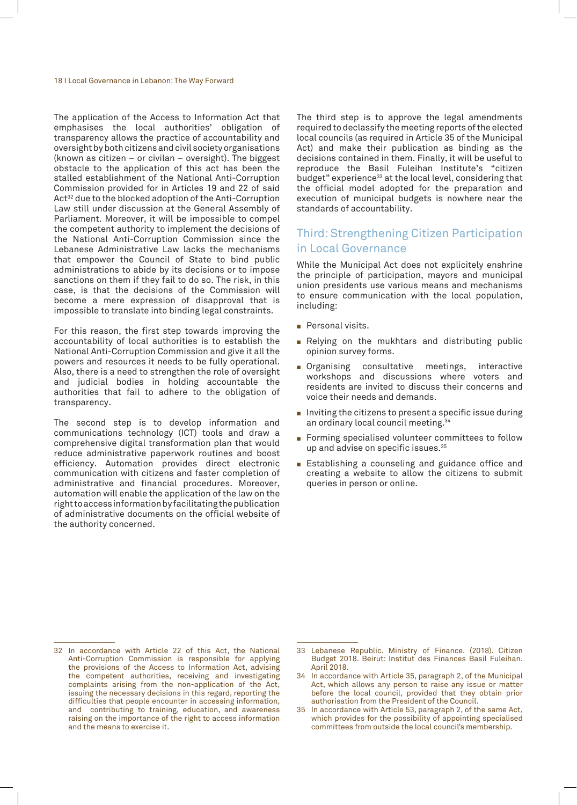#### 18 I Local Governance in Lebanon: The Way Forward

The application of the Access to Information Act that emphasises the local authorities' obligation of transparency allows the practice of accountability and oversight by both citizens and civil society organisations (known as citizen – or civilan – oversight). The biggest obstacle to the application of this act has been the stalled establishment of the National Anti-Corruption Commission provided for in Articles 19 and 22 of said Act<sup>32</sup> due to the blocked adoption of the Anti-Corruption Law still under discussion at the General Assembly of Parliament. Moreover, it will be impossible to compel the competent authority to implement the decisions of the National Anti-Corruption Commission since the Lebanese Administrative Law lacks the mechanisms that empower the Council of State to bind public administrations to abide by its decisions or to impose sanctions on them if they fail to do so. The risk, in this case, is that the decisions of the Commission will become a mere expression of disapproval that is impossible to translate into binding legal constraints.

For this reason, the first step towards improving the accountability of local authorities is to establish the National Anti-Corruption Commission and give it all the powers and resources it needs to be fully operational. Also, there is a need to strengthen the role of oversight and judicial bodies in holding accountable the authorities that fail to adhere to the obligation of transparency.

The second step is to develop information and communications technology (ICT) tools and draw a comprehensive digital transformation plan that would reduce administrative paperwork routines and boost efficiency. Automation provides direct electronic communication with citizens and faster completion of administrative and financial procedures. Moreover, automation will enable the application of the law on the right to access information by facilitating the publication of administrative documents on the official website of the authority concerned.

The third step is to approve the legal amendments required to declassify the meeting reports of the elected local councils (as required in Article 35 of the Municipal Act) and make their publication as binding as the decisions contained in them. Finally, it will be useful to reproduce the Basil Fuleihan Institute's "citizen budget" experience<sup>33</sup> at the local level, considering that the official model adopted for the preparation and execution of municipal budgets is nowhere near the standards of accountability.

#### Third: Strengthening Citizen Participation in Local Governance

While the Municipal Act does not explicitely enshrine the principle of participation, mayors and municipal union presidents use various means and mechanisms to ensure communication with the local population, including:

- Personal visits.
- Relying on the mukhtars and distributing public opinion survey forms.
- **n** Organising consultative meetings, interactive workshops and discussions where voters and residents are invited to discuss their concerns and voice their needs and demands.
- $\blacksquare$  Inviting the citizens to present a specific issue during an ordinary local council meeting.34
- Forming specialised volunteer committees to follow up and advise on specific issues.35
- **Establishing a counseling and guidance office and** creating a website to allow the citizens to submit queries in person or online.

<sup>32</sup> In accordance with Article 22 of this Act, the National Anti-Corruption Commission is responsible for applying the provisions of the Access to Information Act, advising the competent authorities, receiving and investigating complaints arising from the non-application of the Act, issuing the necessary decisions in this regard, reporting the difficulties that people encounter in accessing information, and contributing to training, education, and awareness raising on the importance of the right to access information and the means to exercise it.

<sup>33</sup> Lebanese Republic. Ministry of Finance. (2018). Citizen Budget 2018. Beirut: Institut des Finances Basil Fuleihan. April 2018.

<sup>34</sup> In accordance with Article 35, paragraph 2, of the Municipal Act, which allows any person to raise any issue or matter before the local council, provided that they obtain prior authorisation from the President of the Council.

<sup>35</sup> In accordance with Article 53, paragraph 2, of the same Act, which provides for the possibility of appointing specialised committees from outside the local council's membership.